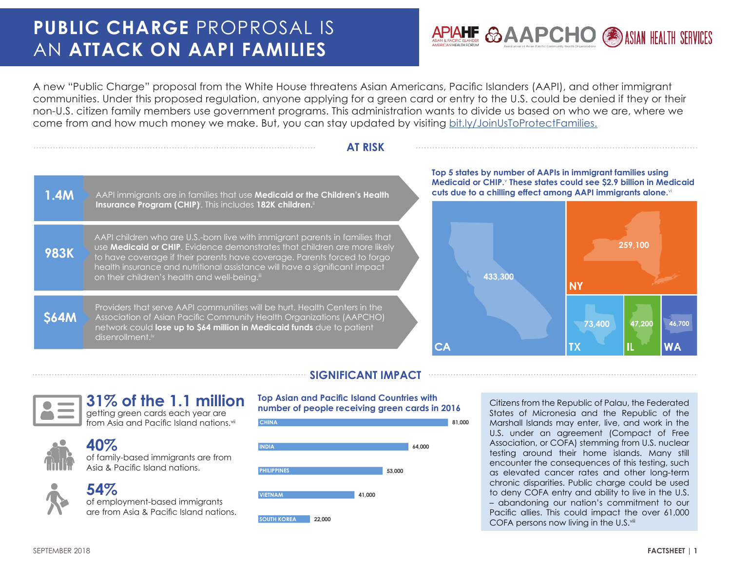# **PUBLIC CHARGE** PROPROSAL IS AN **ATTACK ON AAPI FAMILIES**



A new "Public Charge" proposal from the White House threatens Asian Americans, Pacific Islanders (AAPI), and other immigrant communities. Under this proposed regulation, anyone applying for a green card or entry to the U.S. could be denied if they or their non-U.S. citizen family members use government programs. This administration wants to divide us based on who we are, where we come from and how much money we make. But, you can stay updated by visiting [bit.ly/JoinUsToProtectFamilies](http://bit.ly/JoinUsToProtectFamilies).

### **AT RISK**

1.4M AAPI immigrants are in families that use Medicaid or the Children's Health **Insurance Program (CHIP)**<sup>i</sup> . This includes **182K children.**ii

**983K** AAPI children who are U.S.-born live with immigrant parents in families that use **Medicaid or CHIP**. Evidence demonstrates that children are more likely to have coverage if their parents have coverage. Parents forced to forgo health insurance and nutritional assistance will have a significant impact on their children's health and well-being.<sup>iii</sup>

> Providers that serve AAPI communities will be hurt. Health Centers in the Association of Asian Pacific Community Health Organizations (AAPCHO) network could **lose up to \$64 million in Medicaid funds** due to patient disenrollment.iv

#### **Top 5 states by number of AAPIs in immigrant families using Medicaid or CHIP.**<sup>v</sup>  **These states could see \$2.9 billion in Medicaid cuts due to a chilling effect among AAPI immigrants alone.**vi



### **SIGNIFICANT IMPACT**

**\$64M**

## **31% of the 1.1 million**

getting green cards each year are from Asia and Pacific Island nations.<sup>vii</sup>



## **40%**

of family-based immigrants are from Asia & Pacific Island nations.

# **54%**

of employment-based immigrants are from Asia & Pacific Island nations.

#### **Top Asian and Pacific Island Countries with number of people receiving green cards in 2016**



Citizens from the Republic of Palau, the Federated States of Micronesia and the Republic of the Marshall Islands may enter, live, and work in the U.S. under an agreement (Compact of Free Association, or COFA) stemming from U.S. nuclear testing around their home islands. Many still encounter the consequences of this testing, such as elevated cancer rates and other long-term chronic disparities. Public charge could be used to deny COFA entry and ability to live in the U.S. – abandoning our nation's commitment to our Pacific allies. This could impact the over 61,000 COFA persons now living in the U.S.<sup>viii</sup>